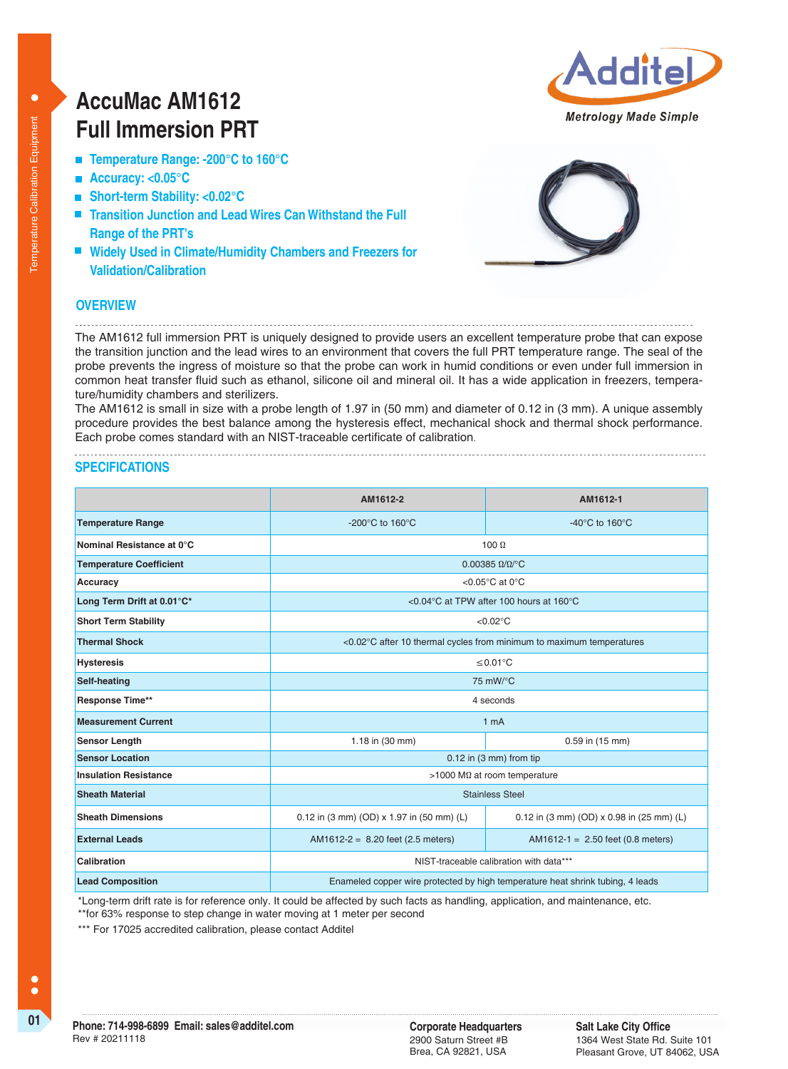# **AccuMac AM1612 Full Immersion PRT**

- **Temperature Range: -200°C to 160°C**
- **Accuracy: <0.05°C**
- **Short-term Stability: <0.02°C**
- **Transition Junction and Lead Wires Can Withstand the Full Range of the PRT's**
- Widely Used in Climate/Humidity Chambers and Freezers for **Validation/Calibration**



dit

Metrology Made Simple

### **OVERVIEW**

The AM1612 full immersion PRT is uniquely designed to provide users an excellent temperature probe that can expose the transition junction and the lead wires to an environment that covers the full PRT temperature range. The seal of the probe prevents the ingress of moisture so that the probe can work in humid conditions or even under full immersion in common heat transfer fluid such as ethanol, silicone oil and mineral oil. It has a wide application in freezers, temperature/humidity chambers and sterilizers.

The AM1612 is small in size with a probe length of 1.97 in (50 mm) and diameter of 0.12 in (3 mm). A unique assembly procedure provides the best balance among the hysteresis effect, mechanical shock and thermal shock performance. Each probe comes standard with an NIST-traceable certificate of calibration.

## **SPECIFICATIONS**

|                                | AM1612-2                                                                       | AM1612-1                                         |  |
|--------------------------------|--------------------------------------------------------------------------------|--------------------------------------------------|--|
| <b>Temperature Range</b>       | -200 $^{\circ}$ C to 160 $^{\circ}$ C                                          | -40 $^{\circ}$ C to 160 $^{\circ}$ C             |  |
| Nominal Resistance at 0°C      | 100 $\Omega$                                                                   |                                                  |  |
| <b>Temperature Coefficient</b> | $0.00385 \Omega/\Omega$ <sup>o</sup> C                                         |                                                  |  |
| Accuracy                       | < $0.05^{\circ}$ C at 0 $^{\circ}$ C                                           |                                                  |  |
| Long Term Drift at 0.01°C*     | <0.04 °C at TPW after 100 hours at 160 °C                                      |                                                  |  |
| <b>Short Term Stability</b>    | $< 0.02$ °C                                                                    |                                                  |  |
| <b>Thermal Shock</b>           | <0.02°C after 10 thermal cycles from minimum to maximum temperatures           |                                                  |  |
| <b>Hysteresis</b>              | ≤0.01°C                                                                        |                                                  |  |
| Self-heating                   | 75 mW/°C                                                                       |                                                  |  |
| <b>Response Time**</b>         | 4 seconds                                                                      |                                                  |  |
| <b>Measurement Current</b>     | 1 <sub>m</sub> A                                                               |                                                  |  |
| Sensor Length                  | 1.18 in (30 mm)                                                                | 0.59 in (15 mm)                                  |  |
| <b>Sensor Location</b>         | $0.12$ in (3 mm) from tip                                                      |                                                  |  |
| <b>Insulation Resistance</b>   | >1000 MΩ at room temperature                                                   |                                                  |  |
| <b>Sheath Material</b>         | <b>Stainless Steel</b>                                                         |                                                  |  |
| <b>Sheath Dimensions</b>       | 0.12 in (3 mm) (OD) x 1.97 in (50 mm) (L)                                      | 0.12 in (3 mm) (OD) $\times$ 0.98 in (25 mm) (L) |  |
| <b>External Leads</b>          | $AM1612-2 = 8.20$ feet (2.5 meters)                                            | $AM1612-1 = 2.50$ feet (0.8 meters)              |  |
| Calibration                    | NIST-traceable calibration with data***                                        |                                                  |  |
| <b>Lead Composition</b>        | Enameled copper wire protected by high temperature heat shrink tubing, 4 leads |                                                  |  |

 \*Long-term drift rate is for reference only. It could be affected by such facts as handling, application, and maintenance, etc. \*\*for 63% response to step change in water moving at 1 meter per second

\*\*\* For 17025 accredited calibration, please contact Additel

 $\bullet$